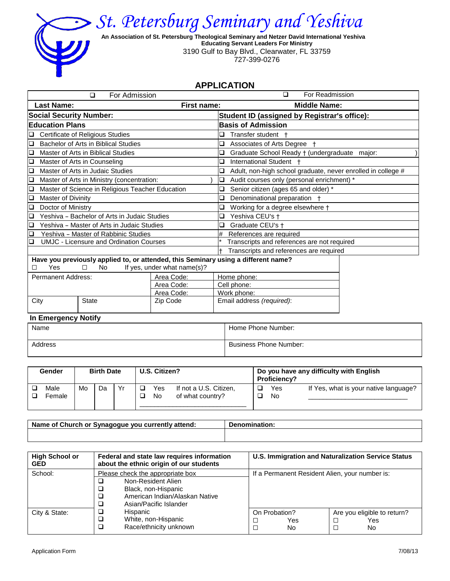

*St. Petersburg Seminary and Yeshiva*

 **An Association of St. Petersburg Theological Seminary and Netzer David International Yeshiva Educating Servant Leaders For Ministry** 3190 Gulf to Bay Blvd., Clearwater, FL 33759 727-399-0276

## **APPLICATION**

| For Admission<br>□                                                                 |                             | For Readmission<br>□                                              |  |  |  |
|------------------------------------------------------------------------------------|-----------------------------|-------------------------------------------------------------------|--|--|--|
| <b>Last Name:</b>                                                                  | First name:                 | <b>Middle Name:</b>                                               |  |  |  |
| <b>Social Security Number:</b>                                                     |                             | Student ID (assigned by Registrar's office):                      |  |  |  |
| <b>Education Plans</b>                                                             |                             | <b>Basis of Admission</b>                                         |  |  |  |
| <b>Certificate of Religious Studies</b><br>□                                       |                             | Transfer student<br>Q                                             |  |  |  |
| Bachelor of Arts in Biblical Studies<br>❏                                          |                             | Associates of Arts Degree †<br>❏                                  |  |  |  |
| Master of Arts in Biblical Studies<br>◘                                            |                             | Graduate School Ready † (undergraduate major:<br>Q                |  |  |  |
| Master of Arts in Counseling<br>O                                                  |                             | International Student +<br>❏                                      |  |  |  |
| Master of Arts in Judaic Studies<br>O                                              |                             | Adult, non-high school graduate, never enrolled in college #<br>❏ |  |  |  |
| Master of Arts in Ministry (concentration:<br>□                                    |                             | Audit courses only (personal enrichment) *<br>□                   |  |  |  |
| Master of Science in Religious Teacher Education<br>O                              |                             | Senior citizen (ages 65 and older) *<br>❏                         |  |  |  |
| Master of Divinity<br>$\Box$                                                       |                             | Denominational preparation +<br>Q                                 |  |  |  |
| Doctor of Ministry<br>□                                                            |                             | Working for a degree elsewhere +<br>□                             |  |  |  |
| Yeshiva - Bachelor of Arts in Judaic Studies<br>O                                  |                             | Yeshiva CEU's +<br>❏                                              |  |  |  |
| Yeshiva - Master of Arts in Judaic Studies<br>$\Box$                               |                             | Graduate CEU's +<br>□                                             |  |  |  |
| □<br>Yeshiva - Master of Rabbinic Studies                                          |                             | References are required<br>#                                      |  |  |  |
| <b>UMJC - Licensure and Ordination Courses</b><br>□                                |                             | Transcripts and references are not required                       |  |  |  |
|                                                                                    |                             | Transcripts and references are required                           |  |  |  |
| Have you previously applied to, or attended, this Seminary using a different name? |                             |                                                                   |  |  |  |
| Yes<br>No.                                                                         | If yes, under what name(s)? |                                                                   |  |  |  |
| <b>Permanent Address:</b>                                                          | Area Code:                  | Home phone:                                                       |  |  |  |
|                                                                                    | Area Code:                  | Cell phone:                                                       |  |  |  |
|                                                                                    | Area Code:                  | Work phone:                                                       |  |  |  |

## **In Emergency Notify**

| Name    | Home Phone Number:            |
|---------|-------------------------------|
| Address | <b>Business Phone Number:</b> |

City **State Zip Code Email address** *(required)*:

| <b>Gender</b>  |    | <b>Birth Date</b> |          | U.S. Citizen? |                                            | <b>Proficiency?</b> | Do you have any difficulty with English |
|----------------|----|-------------------|----------|---------------|--------------------------------------------|---------------------|-----------------------------------------|
| Male<br>Female | Mo | Da                | $\vee$ r | Yes<br>No     | If not a U.S. Citizen,<br>of what country? | Yes<br>No           | If Yes, what is your native language?   |

| <b>Name</b><br>⊧of Church or<br>native and a series<br>וזור<br>svr<br>vou<br>attend:<br>ent<br><b>DOLLA</b> | .<br>. IP |  |  |
|-------------------------------------------------------------------------------------------------------------|-----------|--|--|
|                                                                                                             |           |  |  |

| <b>High School or</b><br><b>GED</b> | Federal and state law requires information<br>about the ethnic origin of our students                                                     | U.S. Immigration and Naturalization Service Status                      |  |  |  |  |
|-------------------------------------|-------------------------------------------------------------------------------------------------------------------------------------------|-------------------------------------------------------------------------|--|--|--|--|
| School:                             | Please check the appropriate box<br>Non-Resident Alien<br>Black, non-Hispanic<br>American Indian/Alaskan Native<br>Asian/Pacific Islander | If a Permanent Resident Alien, your number is:                          |  |  |  |  |
| City & State:                       | Hispanic<br>White, non-Hispanic<br>Race/ethnicity unknown                                                                                 | On Probation?<br>Are you eligible to return?<br>Yes<br>Yes<br>No<br>No. |  |  |  |  |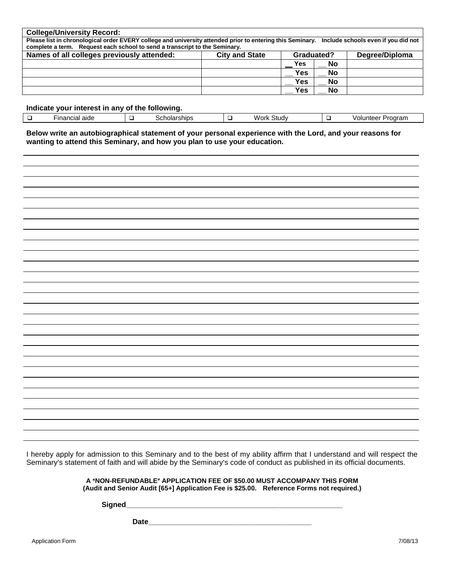| <b>College/University Record:</b>                                                                                                             |  |            |           |  |  |  |  |  |
|-----------------------------------------------------------------------------------------------------------------------------------------------|--|------------|-----------|--|--|--|--|--|
| Please list in chronological order EVERY college and university attended prior to entering this Seminary. Include schools even if you did not |  |            |           |  |  |  |  |  |
| complete a term. Request each school to send a transcript to the Seminary.                                                                    |  |            |           |  |  |  |  |  |
| Names of all colleges previously attended:<br>Degree/Diploma<br><b>City and State</b><br>Graduated?                                           |  |            |           |  |  |  |  |  |
|                                                                                                                                               |  | Yes        | No        |  |  |  |  |  |
|                                                                                                                                               |  | <b>Yes</b> | <b>No</b> |  |  |  |  |  |
|                                                                                                                                               |  | <b>Yes</b> | <b>No</b> |  |  |  |  |  |
|                                                                                                                                               |  | Yes        | <b>No</b> |  |  |  |  |  |

## **Indicate your interest in any of the following.**

| ·inancial<br>aide<br>. | . . | <b>Phine</b><br>۱۱ اص ال<br>אטוווא<br>эu. | . . | . п.<br>. .<br>stud∨<br>w<br>ork | . . | oorar<br>voluntee. |
|------------------------|-----|-------------------------------------------|-----|----------------------------------|-----|--------------------|

**Below write an autobiographical statement of your personal experience with the Lord, and your reasons for wanting to attend this Seminary, and how you plan to use your education.**

I hereby apply for admission to this Seminary and to the best of my ability affirm that I understand and will respect the Seminary's statement of faith and will abide by the Seminary's code of conduct as published in its official documents.

> **A "NON-REFUNDABLE" APPLICATION FEE OF \$50.00 MUST ACCOMPANY THIS FORM (Audit and Senior Audit [65+] Application Fee is \$25.00. Reference Forms not required.)**

**Signed\_\_\_\_\_\_\_\_\_\_\_\_\_\_\_\_\_\_\_\_\_\_\_\_\_\_\_\_\_\_\_\_\_\_\_\_\_\_\_\_\_\_\_\_\_\_\_\_\_\_\_\_\_**

**Date\_\_\_\_\_\_\_\_\_\_\_\_\_\_\_\_\_\_\_\_\_\_\_\_\_\_\_\_\_\_\_\_\_\_\_\_\_\_\_\_**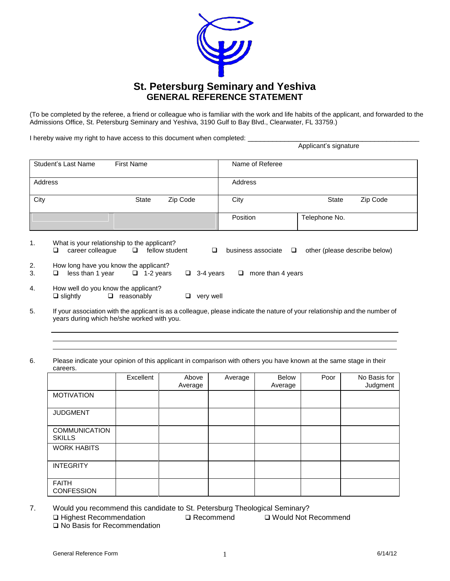

(To be completed by the referee, a friend or colleague who is familiar with the work and life habits of the applicant, and forwarded to the Admissions Office, St. Petersburg Seminary and Yeshiva, 3190 Gulf to Bay Blvd., Clearwater, FL 33759.)

I hereby waive my right to have access to this document when completed: \_\_\_\_\_\_\_\_

|                | <b>THOLODY WALVOTHY HALL to Have access to this acculitority when completed.</b> |                                   |                |                  |                             | Applicant's signature |                               |
|----------------|----------------------------------------------------------------------------------|-----------------------------------|----------------|------------------|-----------------------------|-----------------------|-------------------------------|
|                | Student's Last Name                                                              | <b>First Name</b>                 |                |                  | Name of Referee             |                       |                               |
| Address        |                                                                                  |                                   |                |                  | Address                     |                       |                               |
| City           |                                                                                  | <b>State</b>                      | Zip Code       |                  | City                        | <b>State</b>          | Zip Code                      |
|                |                                                                                  |                                   |                |                  | Position                    | Telephone No.         |                               |
| $\mathbf{1}$ . | What is your relationship to the applicant?<br>career colleague<br>□             | $\Box$                            | fellow student | $\Box$           | business associate $\Box$   |                       | other (please describe below) |
| 2.<br>3.       | How long have you know the applicant?<br>□                                       | less than 1 year $\Box$ 1-2 years |                | $\Box$ 3-4 years | more than 4 years<br>$\Box$ |                       |                               |
| 4.             | How well do you know the applicant?<br>$\Box$ slightly                           | $\Box$ reasonably                 | u              | very well        |                             |                       |                               |

- 5. If your association with the applicant is as a colleague, please indicate the nature of your relationship and the number of years during which he/she worked with you.
- 6. Please indicate your opinion of this applicant in comparison with others you have known at the same stage in their careers.

|                                       | Excellent | Above<br>Average | Average | Below<br>Average | Poor | No Basis for<br>Judgment |
|---------------------------------------|-----------|------------------|---------|------------------|------|--------------------------|
| <b>MOTIVATION</b>                     |           |                  |         |                  |      |                          |
| <b>JUDGMENT</b>                       |           |                  |         |                  |      |                          |
| <b>COMMUNICATION</b><br><b>SKILLS</b> |           |                  |         |                  |      |                          |
| <b>WORK HABITS</b>                    |           |                  |         |                  |      |                          |
| <b>INTEGRITY</b>                      |           |                  |         |                  |      |                          |
| <b>FAITH</b><br><b>CONFESSION</b>     |           |                  |         |                  |      |                          |

7. Would you recommend this candidate to St. Petersburg Theological Seminary? Highest Recommendation Recommend Would Not Recommend □ No Basis for Recommendation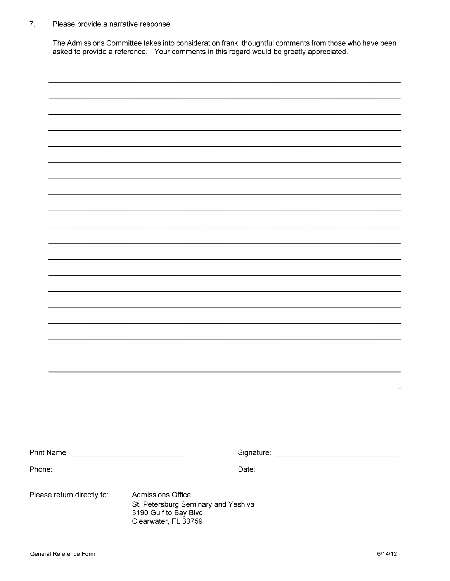$\overline{7}$ . Please provide a narrative response.

> The Admissions Committee takes into consideration frank, thoughtful comments from those who have been asked to provide a reference. Your comments in this regard would be greatly appreciated.

|                            |                                                                                                                   | Date: _______________ |  |
|----------------------------|-------------------------------------------------------------------------------------------------------------------|-----------------------|--|
| Please return directly to: | <b>Admissions Office</b><br>St. Petersburg Seminary and Yeshiva<br>3190 Gulf to Bay Blvd.<br>Clearwater, FL 33759 |                       |  |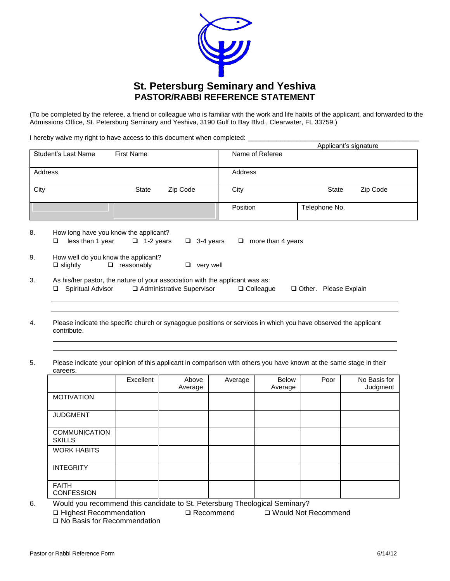

(To be completed by the referee, a friend or colleague who is familiar with the work and life habits of the applicant, and forwarded to the Admissions Office, St. Petersburg Seminary and Yeshiva, 3190 Gulf to Bay Blvd., Clearwater, FL 33759.)

I hereby waive my right to have access to this document when completed: \_\_\_\_\_\_\_\_\_\_\_\_\_\_\_\_\_\_\_\_\_\_\_\_\_\_\_\_\_\_\_\_\_\_\_\_\_\_\_\_\_\_

|         |                                                                                                        |                      |                             |                             | Applicant's signature    |  |
|---------|--------------------------------------------------------------------------------------------------------|----------------------|-----------------------------|-----------------------------|--------------------------|--|
|         | Student's Last Name                                                                                    | <b>First Name</b>    |                             | Name of Referee             |                          |  |
| Address |                                                                                                        |                      |                             | Address                     |                          |  |
| City    |                                                                                                        | <b>State</b>         | Zip Code                    | City                        | Zip Code<br><b>State</b> |  |
|         |                                                                                                        |                      |                             | Position                    | Telephone No.            |  |
| 8.      | How long have you know the applicant?<br>less than 1 year<br>Q                                         | $\Box$ 1-2 years     | $\Box$ 3-4 years            | more than 4 years<br>$\Box$ |                          |  |
| 9.      | How well do you know the applicant?<br>$\square$ slightly                                              | reasonably<br>$\Box$ | very well<br>□              |                             |                          |  |
| 3.      | As his/her pastor, the nature of your association with the applicant was as:<br>Spiritual Advisor<br>u |                      | □ Administrative Supervisor | $\Box$ Colleague            | Other. Please Explain    |  |

- 4. Please indicate the specific church or synagogue positions or services in which you have observed the applicant contribute.
- 5. Please indicate your opinion of this applicant in comparison with others you have known at the same stage in their careers.

|                                       | Excellent | Above<br>Average | Average | <b>Below</b><br>Average | Poor | No Basis for<br>Judgment |
|---------------------------------------|-----------|------------------|---------|-------------------------|------|--------------------------|
| <b>MOTIVATION</b>                     |           |                  |         |                         |      |                          |
| <b>JUDGMENT</b>                       |           |                  |         |                         |      |                          |
| <b>COMMUNICATION</b><br><b>SKILLS</b> |           |                  |         |                         |      |                          |
| <b>WORK HABITS</b>                    |           |                  |         |                         |      |                          |
| <b>INTEGRITY</b>                      |           |                  |         |                         |      |                          |
| <b>FAITH</b><br><b>CONFESSION</b>     |           |                  |         |                         |      |                          |

6. Would you recommend this candidate to St. Petersburg Theological Seminary? **□ Highest Recommendation Recommend Recommend** □ No Basis for Recommendation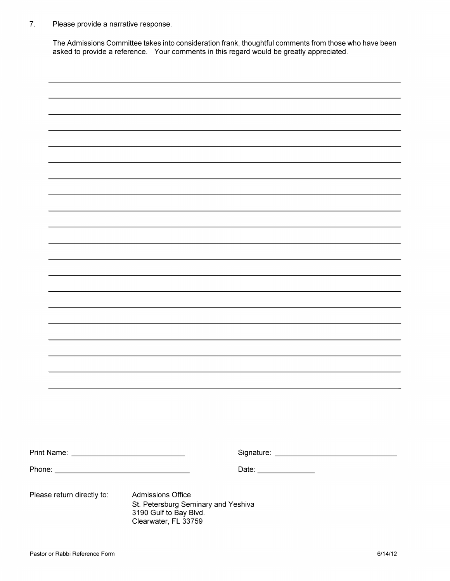$7.$ Please provide a narrative response.

> The Admissions Committee takes into consideration frank, thoughtful comments from those who have been asked to provide a reference. Your comments in this regard would be greatly appreciated.

|                            |  |                                                                                                                   | Date: _______________ |  |
|----------------------------|--|-------------------------------------------------------------------------------------------------------------------|-----------------------|--|
| Please return directly to: |  | <b>Admissions Office</b><br>St. Petersburg Seminary and Yeshiva<br>3190 Gulf to Bay Blvd.<br>Clearwater, FL 33759 |                       |  |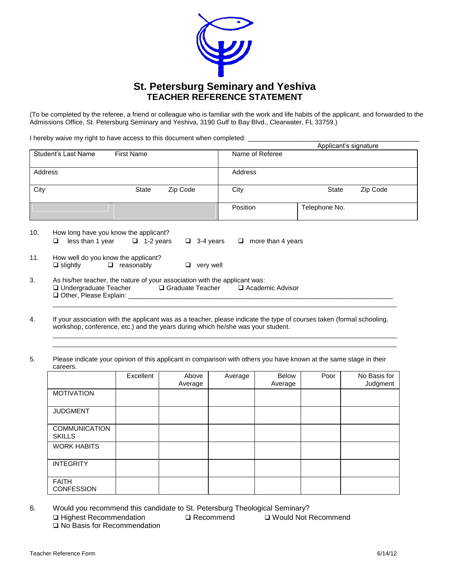

(To be completed by the referee, a friend or colleague who is familiar with the work and life habits of the applicant, and forwarded to the Admissions Office, St. Petersburg Seminary and Yeshiva, 3190 Gulf to Bay Blvd., Clearwater, FL 33759.)

I hereby waive my right to have access to this document when completed: \_

|                     |                   |          |                 | Applicant's signature |          |
|---------------------|-------------------|----------|-----------------|-----------------------|----------|
| Student's Last Name | <b>First Name</b> |          | Name of Referee |                       |          |
| Address             |                   |          | Address         |                       |          |
| City                | State             | Zip Code | City            | State                 | Zip Code |
|                     |                   |          | Position        | Telephone No.         |          |

| 10. | How long have you know the applicant? |                   |                  |                          |  |  |
|-----|---------------------------------------|-------------------|------------------|--------------------------|--|--|
|     | less than 1 year                      | $\Box$ 1-2 vears  | $\Box$ 3-4 vears | $\Box$ more than 4 years |  |  |
| 11. | How well do you know the applicant?   |                   |                  |                          |  |  |
|     | $\Box$ slightly                       | $\Box$ reasonably | $\Box$ very well |                          |  |  |

- 3. As his/her teacher, the nature of your association with the applicant was: Undergraduate Teacher Graduate Teacher Academic Advisor Other, Please Explain: \_\_\_\_\_\_\_\_\_\_\_\_\_\_\_\_\_\_\_\_\_\_\_\_\_\_\_\_\_\_\_\_\_\_\_\_\_\_\_\_\_\_\_\_\_\_\_\_\_\_\_\_\_\_\_\_\_\_\_\_\_\_\_\_\_\_\_\_\_\_\_\_
- 4. If your association with the applicant was as a teacher, please indicate the type of courses taken (formal schooling, workshop, conference, etc.) and the years during which he/she was your student.

5. Please indicate your opinion of this applicant in comparison with others you have known at the same stage in their careers.

|                                       | Excellent | Above<br>Average | Average | Below<br>Average | Poor | No Basis for<br>Judgment |
|---------------------------------------|-----------|------------------|---------|------------------|------|--------------------------|
| <b>MOTIVATION</b>                     |           |                  |         |                  |      |                          |
| <b>JUDGMENT</b>                       |           |                  |         |                  |      |                          |
| <b>COMMUNICATION</b><br><b>SKILLS</b> |           |                  |         |                  |      |                          |
| <b>WORK HABITS</b>                    |           |                  |         |                  |      |                          |
| <b>INTEGRITY</b>                      |           |                  |         |                  |      |                          |
| <b>FAITH</b><br><b>CONFESSION</b>     |           |                  |         |                  |      |                          |

6. Would you recommend this candidate to St. Petersburg Theological Seminary? Highest Recommendation Recommend Would Not Recommend □ No Basis for Recommendation